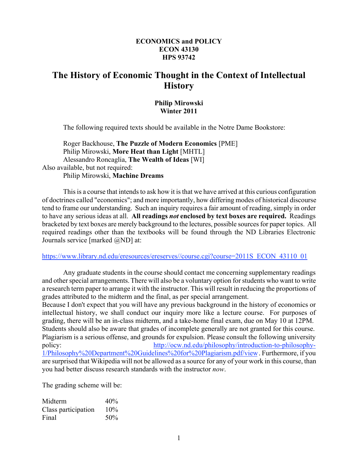#### **ECONOMICS and POLICY ECON 43130 HPS 93742**

## **The History of Economic Thought in the Context of Intellectual History**

#### **Philip Mirowski Winter 2011**

The following required texts should be available in the Notre Dame Bookstore:

Roger Backhouse, **The Puzzle of Modern Economics** [PME] Philip Mirowski, **More Heat than Light** [MHTL] Alessandro Roncaglia, **The Wealth of Ideas** [WI] Also available, but not required: Philip Mirowski, **Machine Dreams**

This is a course that intends to ask how it is that we have arrived at this curious configuration of doctrines called "economics"; and more importantly, how differing modes of historical discourse tend to frame our understanding. Such an inquiry requires a fair amount of reading, simply in order to have any serious ideas at all. **All readings** *not* **enclosed by text boxes are required.** Readings bracketed by text boxes are merely background to the lectures, possible sources for paper topics. All required readings other than the textbooks will be found through the ND Libraries Electronic Journals service [marked @ND] at:

https://www.library.nd.edu/eresources/ereserves//course.cgi?course=2011S\_ECON\_43110\_01

Any graduate students in the course should contact me concerning supplementary readings and other special arrangements. There will also be a voluntary option for students who want to write a research term paper to arrange it with the instructor. This will result in reducing the proportions of grades attributed to the midterm and the final, as per special arrangement.

Because I don't expect that you will have any previous background in the history of economics or intellectual history, we shall conduct our inquiry more like a lecture course. For purposes of grading, there will be an in-class midterm, and a take-home final exam, due on May 10 at 12PM. Students should also be aware that grades of incomplete generally are not granted for this course. Plagiarism is a serious offense, and grounds for expulsion. Please consult the following university policy: http://ocw.nd.edu/philosophy/introduction-to-philosophy-1/Philosophy%20Department%20Guidelines%20for%20Plagiarism.pdf/view . Furthermore, if you are surprised that Wikipedia will not be allowed as a source for any of your work in this course, than you had better discuss research standards with the instructor *now*.

The grading scheme will be:

| Midterm             | 40% |
|---------------------|-----|
| Class participation | 10% |
| Final               | 50% |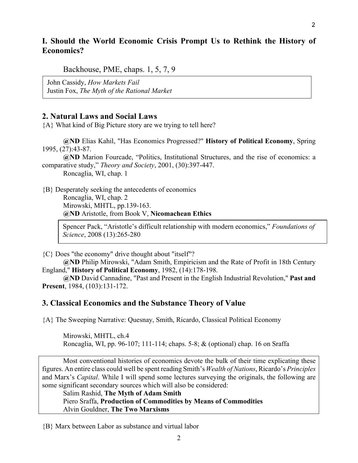### **I. Should the World Economic Crisis Prompt Us to Rethink the History of Economics?**

Backhouse, PME, chaps. 1, 5, 7, 9

John Cassidy, *How Markets Fail* Justin Fox, *The Myth of the Rational Market*

#### **2. Natural Laws and Social Laws**

{A} What kind of Big Picture story are we trying to tell here?

**@ND** Elias Kahil, "Has Economics Progressed?" **History of Political Economy**, Spring 1995, (27):43-87.

**@ND** Marion Fourcade, "Politics, Institutional Structures, and the rise of economics: a comparative study," *Theory and Society*, 2001, (30):397-447.

Roncaglia, WI, chap. 1

{B} Desperately seeking the antecedents of economics Roncaglia, WI, chap. 2 Mirowski, MHTL, pp.139-163. **@ND** Aristotle, from Book V, **Nicomachean Ethics**

> Spencer Pack, "Aristotle's difficult relationship with modern economics," *Foundations of Science*, 2008 (13):265-280

{C} Does "the economy" drive thought about "itself"?

**@ND** Philip Mirowski, "Adam Smith, Empiricism and the Rate of Profit in 18th Century England," **History of Political Economy**, 1982, (14):178-198.

**@ND** David Cannadine, "Past and Present in the English Industrial Revolution," **Past and Present**, 1984, (103):131-172.

#### **3. Classical Economics and the Substance Theory of Value**

{A} The Sweeping Narrative: Quesnay, Smith, Ricardo, Classical Political Economy

Mirowski, MHTL, ch.4 Roncaglia, WI, pp. 96-107; 111-114; chaps. 5-8; & (optional) chap. 16 on Sraffa

Most conventional histories of economics devote the bulk of their time explicating these figures. An entire class could well be spent reading Smith's *Wealth of Nations*, Ricardo's *Principles* and Marx's *Capital*. While I will spend some lectures surveying the originals, the following are some significant secondary sources which will also be considered:

Salim Rashid, **The Myth of Adam Smith** Piero Sraffa, **Production of Commodities by Means of Commodities** Alvin Gouldner, **The Two Marxisms**

{B} Marx between Labor as substance and virtual labor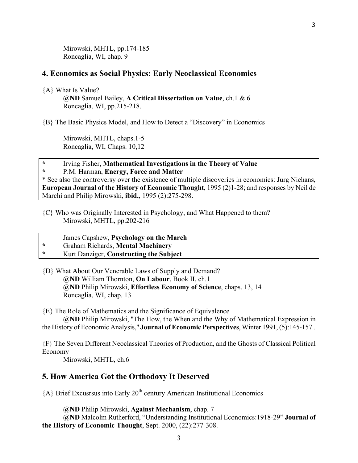Mirowski, MHTL, pp.174-185 Roncaglia, WI, chap. 9

#### **4. Economics as Social Physics: Early Neoclassical Economics**

{A} What Is Value?

**@ND** Samuel Bailey, **A Critical Dissertation on Value**, ch.1 & 6 Roncaglia, WI, pp.215-218.

{B} The Basic Physics Model, and How to Detect a "Discovery" in Economics

Mirowski, MHTL, chaps.1-5 Roncaglia, WI, Chaps. 10,12

# **\*** Irving Fisher, **Mathematical Investigations in the Theory of Value**

**\*** P.M. Harman, **Energy, Force and Matter**

\* See also the controversy over the existence of multiple discoveries in economics: Jurg Niehans, **European Journal of the History of Economic Thought**, 1995 (2)1-28; and responses by Neil de Marchi and Philip Mirowski, **ibid.**, 1995 (2):275-298.

- {C} Who was Originally Interested in Psychology, and What Happened to them? Mirowski, MHTL, pp.202-216
- James Capshew, **Psychology on the March**
- **\*** Graham Richards, **Mental Machinery**

#### **\*** Kurt Danziger, **Constructing the Subject**

{D} What About Our Venerable Laws of Supply and Demand? **@ND** William Thornton, **On Labour**, Book II, ch.1 **@ND** Philip Mirowski, **Effortless Economy of Science**, chaps. 13, 14 Roncaglia, WI, chap. 13

{E} The Role of Mathematics and the Significance of Equivalence

**@ND** Philip Mirowski, "The How, the When and the Why of Mathematical Expression in the History of Economic Analysis," **Journal of Economic Perspectives**, Winter 1991, (5):145-157..

{F} The Seven Different Neoclassical Theories of Production, and the Ghosts of Classical Political Economy

Mirowski, MHTL, ch.6

#### **5. How America Got the Orthodoxy It Deserved**

 ${A}$  Brief Excusrsus into Early 20<sup>th</sup> century American Institutional Economics

**@ND** Philip Mirowski, **Against Mechanism**, chap. 7

**@ND** Malcolm Rutherford, "Understanding Institutional Economics:1918-29" **Journal of the History of Economic Thought**, Sept. 2000, (22):277-308.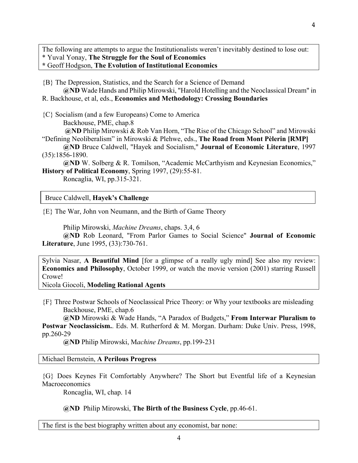The following are attempts to argue the Institutionalists weren't inevitably destined to lose out: \* Yuval Yonay, **The Struggle for the Soul of Economics**

**\*** Geoff Hodgson, **The Evolution of Institutional Economics**

{B} The Depression, Statistics, and the Search for a Science of Demand

**@ND** Wade Hands and Philip Mirowski, "Harold Hotelling and the Neoclassical Dream" in R. Backhouse, et al, eds., **Economics and Methodology: Crossing Boundaries**

{C} Socialism (and a few Europeans) Come to America Backhouse, PME, chap.8

**@ND** Philip Mirowski & Rob Van Horn, "The Rise of the Chicago School" and Mirowski "Defining Neoliberalism" in Mirowski & Plehwe, eds., **The Road from Mont Pèlerin [RMP]**

- **@ND** Bruce Caldwell, "Hayek and Socialism," **Journal of Economic Literature**, 1997 (35):1856-1890.
- **@ND** W. Solberg & R. Tomilson, "Academic McCarthyism and Keynesian Economics," **History of Political Economy**, Spring 1997, (29):55-81.

Roncaglia, WI, pp.315-321.

Bruce Caldwell, **Hayek's Challenge** Bruce Caldwell, **Hayek's Challenge**

{E} The War, John von Neumann, and the Birth of Game Theory

Philip Mirowski, *Machine Dreams*, chaps. 3,4, 6

**@ND** Rob Leonard, "From Parlor Games to Social Science" **Journal of Economic Literature**, June 1995, (33):730-761.

Sylvia Nasar, **A Beautiful Mind** [for a glimpse of a really ugly mind] See also my review: **Economics and Philosophy**, October 1999, or watch the movie version (2001) starring Russell Crowe!

Nicola Giocoli, **Modeling Rational Agents**

{F} Three Postwar Schools of Neoclassical Price Theory: or Why your textbooks are misleading Backhouse, PME, chap.6

**@ND** Mirowski & Wade Hands, "A Paradox of Budgets," **From Interwar Pluralism to Postwar Neoclassicism.**. Eds. M. Rutherford & M. Morgan. Durham: Duke Univ. Press, 1998, pp.260-29

**@ND** Philip Mirowski, M*achine Dreams*, pp.199-231

Michael Bernstein, **A Perilous Progress**

{G} Does Keynes Fit Comfortably Anywhere? The Short but Eventful life of a Keynesian Macroeconomics

Roncaglia, WI, chap. 14

**@ND** Philip Mirowski, **The Birth of the Business Cycle**, pp.46-61.

The first is the best biography written about any economist, bar none: